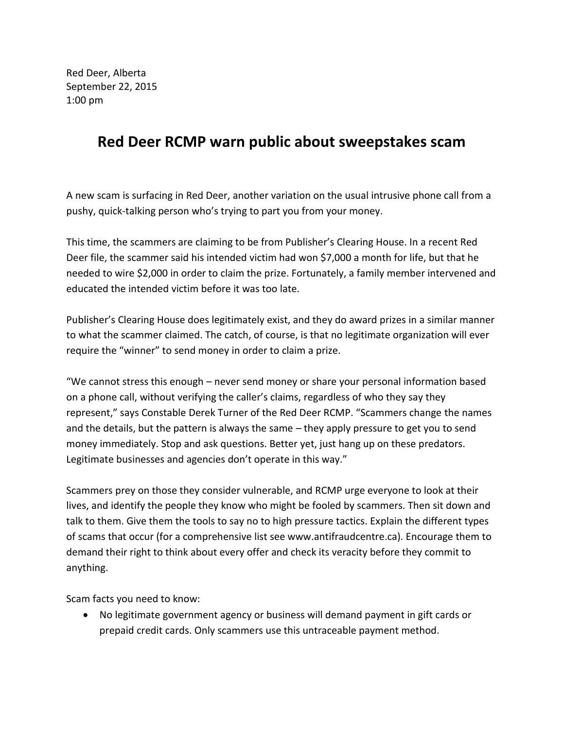Red Deer, Alberta September 22, 2015 1:00 pm

## **Red Deer RCMP warn public about sweepstakes scam**

A new scam is surfacing in Red Deer, another variation on the usual intrusive phone call from a pushy, quick-talking person who's trying to part you from your money.

This time, the scammers are claiming to be from Publisher's Clearing House. In a recent Red Deer file, the scammer said his intended victim had won \$7,000 a month for life, but that he needed to wire \$2,000 in order to claim the prize. Fortunately, a family member intervened and educated the intended victim before it was too late.

Publisher's Clearing House does legitimately exist, and they do award prizes in a similar manner to what the scammer claimed. The catch, of course, is that no legitimate organization will ever require the "winner" to send money in order to claim a prize.

"We cannot stress this enough – never send money or share your personal information based on a phone call, without verifying the caller's claims, regardless of who they say they represent," says Constable Derek Turner of the Red Deer RCMP. "Scammers change the names and the details, but the pattern is always the same – they apply pressure to get you to send money immediately. Stop and ask questions. Better yet, just hang up on these predators. Legitimate businesses and agencies don't operate in this way."

Scammers prey on those they consider vulnerable, and RCMP urge everyone to look at their lives, and identify the people they know who might be fooled by scammers. Then sit down and talk to them. Give them the tools to say no to high pressure tactics. Explain the different types of scams that occur (for a comprehensive list see www.antifraudcentre.ca). Encourage them to demand their right to think about every offer and check its veracity before they commit to anything.

Scam facts you need to know:

 No legitimate government agency or business will demand payment in gift cards or prepaid credit cards. Only scammers use this untraceable payment method.